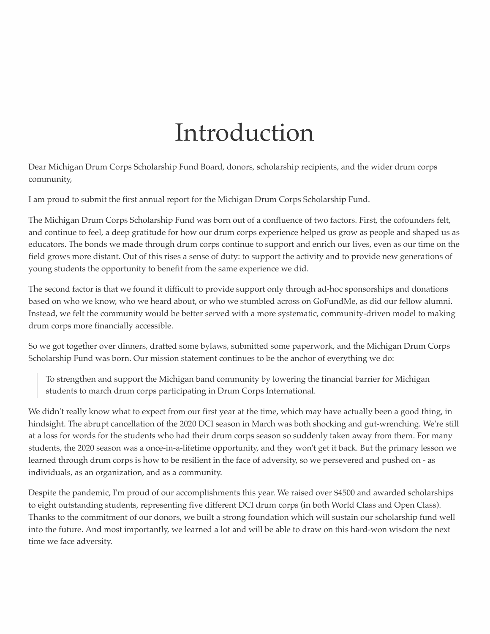### Introduction

Dear Michigan Drum Corps Scholarship Fund Board, donors, scholarship recipients, and the wider drum corps community,

I am proud to submit the first annual report for the Michigan Drum Corps Scholarship Fund.

The Michigan Drum Corps Scholarship Fund was born out of a confluence of two factors. First, the cofounders felt, and continue to feel, a deep gratitude for how our drum corps experience helped us grow as people and shaped us as educators. The bonds we made through drum corps continue to support and enrich our lives, even as our time on the field grows more distant. Out of this rises a sense of duty: to support the activity and to provide new generations of young students the opportunity to benefit from the same experience we did.

The second factor is that we found it difficult to provide support only through ad-hoc sponsorships and donations based on who we know, who we heard about, or who we stumbled across on GoFundMe, as did our fellow alumni. Instead, we felt the community would be better served with a more systematic, community-driven model to making drum corps more financially accessible.

So we got together over dinners, drafted some bylaws, submitted some paperwork, and the Michigan Drum Corps Scholarship Fund was born. Our mission statement continues to be the anchor of everything we do:

To strengthen and support the Michigan band community by lowering the financial barrier for Michigan students to march drum corps participating in Drum Corps International.

We didn't really know what to expect from our first year at the time, which may have actually been a good thing, in hindsight. The abrupt cancellation of the 2020 DCI season in March was both shocking and gut-wrenching. We're still at a loss for words for the students who had their drum corps season so suddenly taken away from them. For many students, the 2020 season was a once-in-a-lifetime opportunity, and they won't get it back. But the primary lesson we learned through drum corps is how to be resilient in the face of adversity, so we persevered and pushed on - as individuals, as an organization, and as a community.

Despite the pandemic, I'm proud of our accomplishments this year. We raised over \$4500 and awarded scholarships to eight outstanding students, representing five different DCI drum corps (in both World Class and Open Class). Thanks to the commitment of our donors, we built a strong foundation which will sustain our scholarship fund well into the future. And most importantly, we learned a lot and will be able to draw on this hard-won wisdom the next time we face adversity.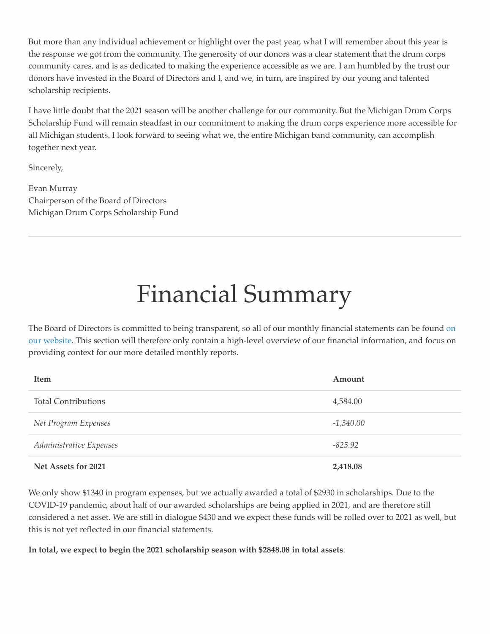But more than any individual achievement or highlight over the past year, what I will remember about this year is the response we got from the community. The generosity of our donors was a clear statement that the drum corps community cares, and is as dedicated to making the experience accessible as we are. I am humbled by the trust our donors have invested in the Board of Directors and I, and we, in turn, are inspired by our young and talented scholarship recipients.

I have little doubt that the 2021 season will be another challenge for our community. But the Michigan Drum Corps Scholarship Fund will remain steadfast in our commitment to making the drum corps experience more accessible for all Michigan students. I look forward to seeing what we, the entire Michigan band community, can accomplish together next year.

Sincerely,

Evan Murray Chairperson of the Board of Directors Michigan Drum Corps Scholarship Fund

## Financial Summary

The Board of Directors is committed to being transparent, so all of our monthly financial statements can be found on [our website. This section will therefore only contain a high-level overview of our financial information, and focus on](https://midrumcorpsfund.org/report/) providing context for our more detailed monthly reports.

| <b>Item</b>                | Amount      |
|----------------------------|-------------|
| <b>Total Contributions</b> | 4,584.00    |
| Net Program Expenses       | $-1,340.00$ |
| Administrative Expenses    | $-825.92$   |
| Net Assets for 2021        | 2,418.08    |

We only show \$1340 in program expenses, but we actually awarded a total of \$2930 in scholarships. Due to the COVID-19 pandemic, about half of our awarded scholarships are being applied in 2021, and are therefore still considered a net asset. We are still in dialogue \$430 and we expect these funds will be rolled over to 2021 as well, but this is not yet reflected in our financial statements.

**In total, we expect to begin the 2021 scholarship season with \$2848.08 in total assets**.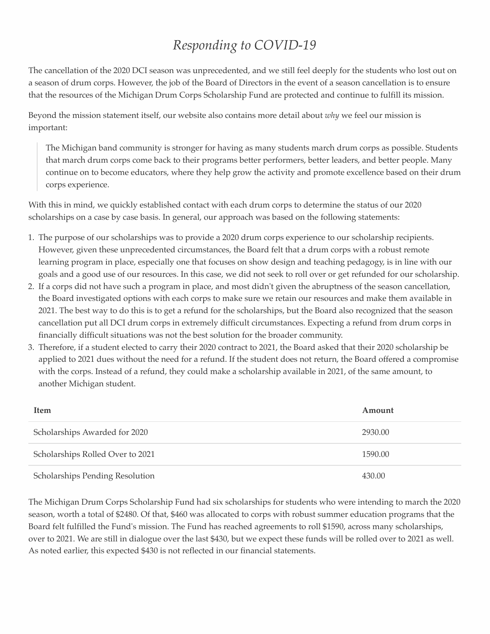### *Responding to COVID-19*

The cancellation of the 2020 DCI season was unprecedented, and we still feel deeply for the students who lost out on a season of drum corps. However, the job of the Board of Directors in the event of a season cancellation is to ensure that the resources of the Michigan Drum Corps Scholarship Fund are protected and continue to fulfill its mission.

Beyond the mission statement itself, our website also contains more detail about *why* we feel our mission is important:

The Michigan band community is stronger for having as many students march drum corps as possible. Students that march drum corps come back to their programs better performers, better leaders, and better people. Many continue on to become educators, where they help grow the activity and promote excellence based on their drum corps experience.

With this in mind, we quickly established contact with each drum corps to determine the status of our 2020 scholarships on a case by case basis. In general, our approach was based on the following statements:

- 1. The purpose of our scholarships was to provide a 2020 drum corps experience to our scholarship recipients. However, given these unprecedented circumstances, the Board felt that a drum corps with a robust remote learning program in place, especially one that focuses on show design and teaching pedagogy, is in line with our goals and a good use of our resources. In this case, we did not seek to roll over or get refunded for our scholarship.
- 2. If a corps did not have such a program in place, and most didn't given the abruptness of the season cancellation, the Board investigated options with each corps to make sure we retain our resources and make them available in 2021. The best way to do this is to get a refund for the scholarships, but the Board also recognized that the season cancellation put all DCI drum corps in extremely difficult circumstances. Expecting a refund from drum corps in financially difficult situations was not the best solution for the broader community.
- 3. Therefore, if a student elected to carry their 2020 contract to 2021, the Board asked that their 2020 scholarship be applied to 2021 dues without the need for a refund. If the student does not return, the Board offered a compromise with the corps. Instead of a refund, they could make a scholarship available in 2021, of the same amount, to another Michigan student.

| <b>Item</b>                            | Amount  |
|----------------------------------------|---------|
| Scholarships Awarded for 2020          | 2930.00 |
| Scholarships Rolled Over to 2021       | 1590.00 |
| <b>Scholarships Pending Resolution</b> | 430.00  |

The Michigan Drum Corps Scholarship Fund had six scholarships for students who were intending to march the 2020 season, worth a total of \$2480. Of that, \$460 was allocated to corps with robust summer education programs that the Board felt fulfilled the Fund's mission. The Fund has reached agreements to roll \$1590, across many scholarships, over to 2021. We are still in dialogue over the last \$430, but we expect these funds will be rolled over to 2021 as well. As noted earlier, this expected \$430 is not reflected in our financial statements.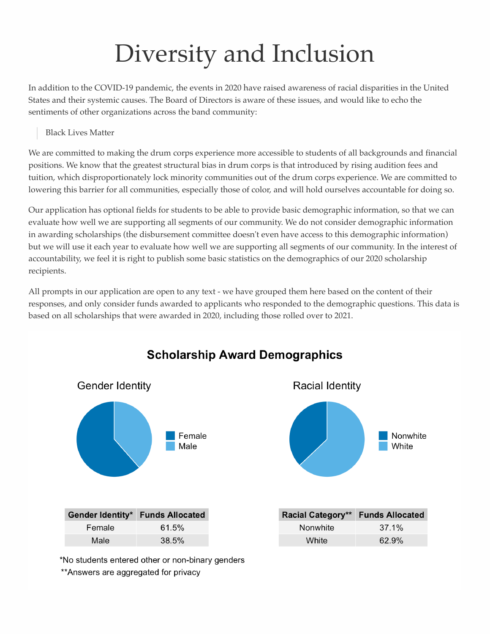# Diversity and Inclusion

In addition to the COVID-19 pandemic, the events in 2020 have raised awareness of racial disparities in the United States and their systemic causes. The Board of Directors is aware of these issues, and would like to echo the sentiments of other organizations across the band community:

Black Lives Matter

We are committed to making the drum corps experience more accessible to students of all backgrounds and financial positions. We know that the greatest structural bias in drum corps is that introduced by rising audition fees and tuition, which disproportionately lock minority communities out of the drum corps experience. We are committed to lowering this barrier for all communities, especially those of color, and will hold ourselves accountable for doing so.

Our application has optional fields for students to be able to provide basic demographic information, so that we can evaluate how well we are supporting all segments of our community. We do not consider demographic information in awarding scholarships (the disbursement committee doesn't even have access to this demographic information) but we will use it each year to evaluate how well we are supporting all segments of our community. In the interest of accountability, we feel it is right to publish some basic statistics on the demographics of our 2020 scholarship recipients.

All prompts in our application are open to any text - we have grouped them here based on the content of their responses, and only consider funds awarded to applicants who responded to the demographic questions. This data is based on all scholarships that were awarded in 2020, including those rolled over to 2021.



#### **Scholarship Award Demographics**

\*No students entered other or non-binary genders \*\* Answers are aggregated for privacy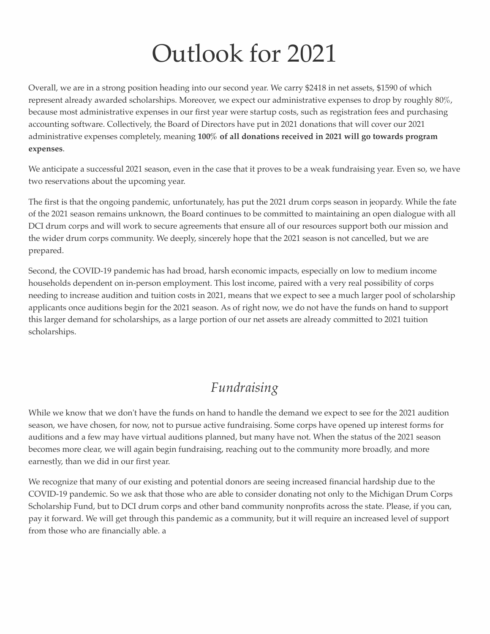## Outlook for 2021

Overall, we are in a strong position heading into our second year. We carry \$2418 in net assets, \$1590 of which represent already awarded scholarships. Moreover, we expect our administrative expenses to drop by roughly 80%, because most administrative expenses in our first year were startup costs, such as registration fees and purchasing accounting software. Collectively, the Board of Directors have put in 2021 donations that will cover our 2021 administrative expenses completely, meaning **100% of all donations received in 2021 will go towards program expenses**.

We anticipate a successful 2021 season, even in the case that it proves to be a weak fundraising year. Even so, we have two reservations about the upcoming year.

The first is that the ongoing pandemic, unfortunately, has put the 2021 drum corps season in jeopardy. While the fate of the 2021 season remains unknown, the Board continues to be committed to maintaining an open dialogue with all DCI drum corps and will work to secure agreements that ensure all of our resources support both our mission and the wider drum corps community. We deeply, sincerely hope that the 2021 season is not cancelled, but we are prepared.

Second, the COVID-19 pandemic has had broad, harsh economic impacts, especially on low to medium income households dependent on in-person employment. This lost income, paired with a very real possibility of corps needing to increase audition and tuition costs in 2021, means that we expect to see a much larger pool of scholarship applicants once auditions begin for the 2021 season. As of right now, we do not have the funds on hand to support this larger demand for scholarships, as a large portion of our net assets are already committed to 2021 tuition scholarships.

### *Fundraising*

While we know that we don't have the funds on hand to handle the demand we expect to see for the 2021 audition season, we have chosen, for now, not to pursue active fundraising. Some corps have opened up interest forms for auditions and a few may have virtual auditions planned, but many have not. When the status of the 2021 season becomes more clear, we will again begin fundraising, reaching out to the community more broadly, and more earnestly, than we did in our first year.

We recognize that many of our existing and potential donors are seeing increased financial hardship due to the COVID-19 pandemic. So we ask that those who are able to consider donating not only to the Michigan Drum Corps Scholarship Fund, but to DCI drum corps and other band community nonprofits across the state. Please, if you can, pay it forward. We will get through this pandemic as a community, but it will require an increased level of support from those who are financially able. a